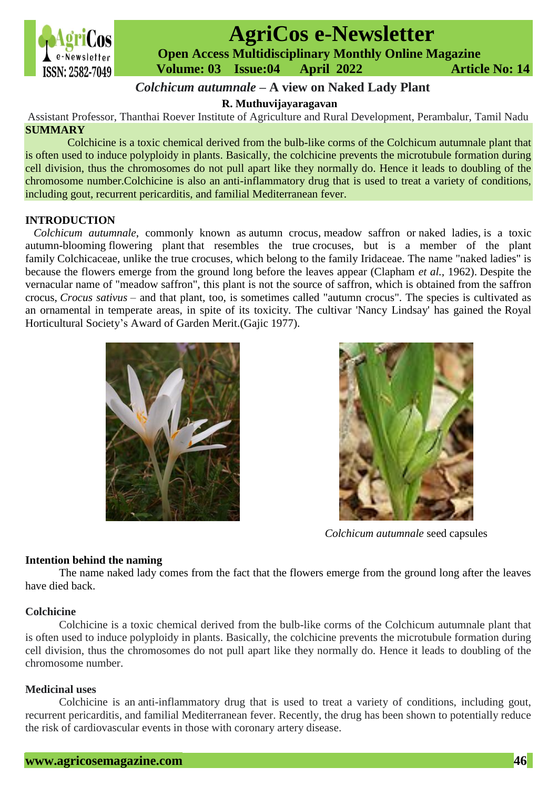

# **AgriCos e-Newsletter**

 **Open Access Multidisciplinary Monthly Online Magazine**

 **ISSN: 2582-7049 Volume: 03 Issue:04 April 2022 Article No: 14** 

# *Colchicum autumnale* **– A view on Naked Lady Plant**

**R. Muthuvijayaragavan**

Assistant Professor, Thanthai Roever Institute of Agriculture and Rural Development, Perambalur, Tamil Nadu **SUMMARY**

Colchicine is a toxic chemical derived from the bulb-like corms of the Colchicum autumnale plant that is often used to induce polyploidy in plants. Basically, the colchicine prevents the microtubule formation during cell division, thus the chromosomes do not pull apart like they normally do. Hence it leads to doubling of the chromosome number.Colchicine is also an anti-inflammatory drug that is used to treat a variety of conditions, including gout, recurrent pericarditis, and familial Mediterranean fever.

# **INTRODUCTION**

*Colchicum autumnale*, commonly known as autumn crocus, meadow saffron or naked ladies, is a toxic autumn-blooming [flowering plant](https://en.wikipedia.org/wiki/Flowering_plant) that resembles the true [crocuses,](https://en.wikipedia.org/wiki/Crocus) but is a member of the plant family [Colchicaceae,](https://en.wikipedia.org/wiki/Colchicaceae) unlike the true crocuses, which belong to the family [Iridaceae.](https://en.wikipedia.org/wiki/Iridaceae) The name "naked ladies" is because the flowers emerge from the ground long before the leaves appear (Clapham *et al.,* 1962). Despite the vernacular name of "meadow saffron", this plant is not the source of [saffron,](https://en.wikipedia.org/wiki/Saffron) which is obtained from the saffron crocus, *[Crocus sativus](https://en.wikipedia.org/wiki/Crocus_sativus)* – and that plant, too, is sometimes called "autumn crocus". The species is cultivated as an ornamental in temperate areas, in spite of its toxicity. The cultivar 'Nancy Lindsay' has gained the [Royal](https://en.wikipedia.org/wiki/Royal_Horticultural_Society)  [Horticultural Society'](https://en.wikipedia.org/wiki/Royal_Horticultural_Society)s [Award of Garden Merit.](https://en.wikipedia.org/wiki/Award_of_Garden_Merit)(Gajic 1977).





*Colchicum autumnale* seed capsules

# **Intention behind the naming**

The name naked lady comes from the fact that the flowers emerge from the ground long after the leaves have died back.

# **Colchicine**

Colchicine is a toxic chemical derived from the bulb-like corms of the Colchicum autumnale plant that is often used to induce polyploidy in plants. Basically, the colchicine prevents the microtubule formation during cell division, thus the chromosomes do not pull apart like they normally do. Hence it leads to doubling of the chromosome number.

# **Medicinal uses**

Colchicine is an anti-inflammatory drug that is used to treat a variety of conditions, including gout, recurrent pericarditis, and familial Mediterranean fever. Recently, the drug has been shown to potentially reduce the risk of cardiovascular events in those with coronary artery disease.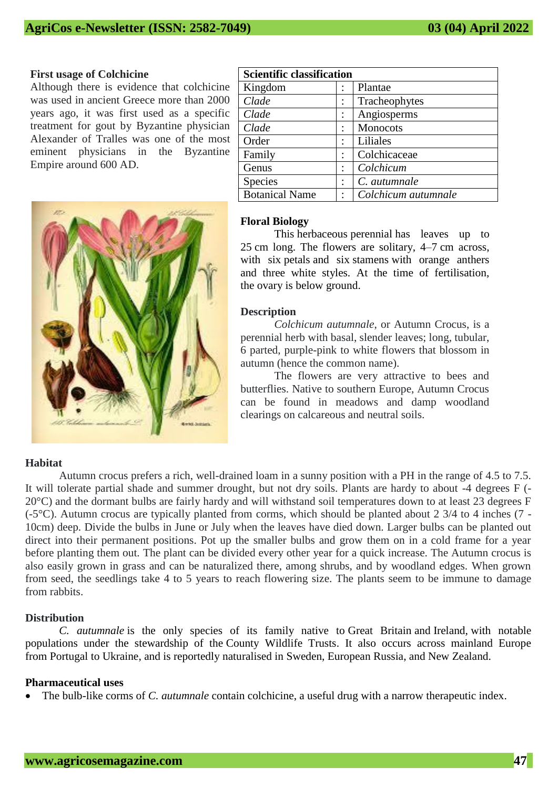#### **First usage of Colchicine**

Although there is evidence that colchicine was used in ancient Greece more than 2000 years ago, it was first used as a specific treatment for gout by Byzantine physician Alexander of Tralles was one of the most eminent physicians in the Byzantine Empire around 600 AD.



| <b>Scientific classification</b> |  |                     |
|----------------------------------|--|---------------------|
| Kingdom                          |  | Plantae             |
| Clade                            |  | Tracheophytes       |
| Clade                            |  | Angiosperms         |
| Clade                            |  | Monocots            |
| Order                            |  | Liliales            |
| Family                           |  | Colchicaceae        |
| Genus                            |  | Colchicum           |
| Species                          |  | C. autumnale        |
| <b>Botanical Name</b>            |  | Colchicum autumnale |
|                                  |  |                     |

# **Floral Biology**

This [herbaceous](https://en.wikipedia.org/wiki/Herbaceous) [perennial](https://en.wikipedia.org/wiki/Perennial_plant) has leaves up to 25 cm long. The flowers are solitary, 4–7 cm across, with six [petals](https://en.wikipedia.org/wiki/Tepal) and six [stamens](https://en.wikipedia.org/wiki/Stamen) with orange anthers and three white styles. At the time of fertilisation, the [ovary](https://en.wikipedia.org/wiki/Ovary_(botany)) is below ground.

#### **Description**

*Colchicum autumnale*, or Autumn Crocus, is a perennial herb with basal, slender leaves; long, tubular, 6 parted, purple-pink to white flowers that blossom in autumn (hence the common name).

The flowers are very attractive to bees and butterflies. Native to southern Europe, Autumn Crocus can be found in meadows and damp woodland clearings on calcareous and neutral soils.

#### **Habitat**

Autumn crocus prefers a rich, well-drained loam in a sunny position with a PH in the range of 4.5 to 7.5. It will tolerate partial shade and summer drought, but not dry soils. Plants are hardy to about -4 degrees F (- 20°C) and the dormant bulbs are fairly hardy and will withstand soil temperatures down to at least 23 degrees F (-5°C). Autumn crocus are typically planted from corms, which should be planted about 2 3/4 to 4 inches (7 - 10cm) deep. Divide the bulbs in June or July when the leaves have died down. Larger bulbs can be planted out direct into their permanent positions. Pot up the smaller bulbs and grow them on in a cold frame for a year before planting them out. The plant can be divided every other year for a quick increase. The Autumn crocus is also easily grown in grass and can be naturalized there, among shrubs, and by woodland edges. When grown from seed, the seedlings take 4 to 5 years to reach flowering size. The plants seem to be immune to damage from rabbits.

#### **Distribution**

*C. autumnale* is the only species of its family native to [Great Britain](https://en.wikipedia.org/wiki/Great_Britain) and [Ireland,](https://en.wikipedia.org/wiki/Ireland) with notable populations under the stewardship of the [County Wildlife Trusts.](https://en.wikipedia.org/wiki/County_Wildlife_Trusts) It also occurs across mainland Europe from [Portugal](https://en.wikipedia.org/wiki/Portugal) to [Ukraine,](https://en.wikipedia.org/wiki/Ukraine) and is reportedly naturalised in [Sweden,](https://en.wikipedia.org/wiki/Sweden) [European Russia,](https://en.wikipedia.org/wiki/European_Russia) and [New Zealand.](https://en.wikipedia.org/wiki/New_Zealand)

#### **Pharmaceutical uses**

The bulb-like [corms](https://en.wikipedia.org/wiki/Corm) of *C. autumnale* contain [colchicine,](https://en.wikipedia.org/wiki/Colchicine) a useful drug with a narrow [therapeutic index.](https://en.wikipedia.org/wiki/Therapeutic_index)